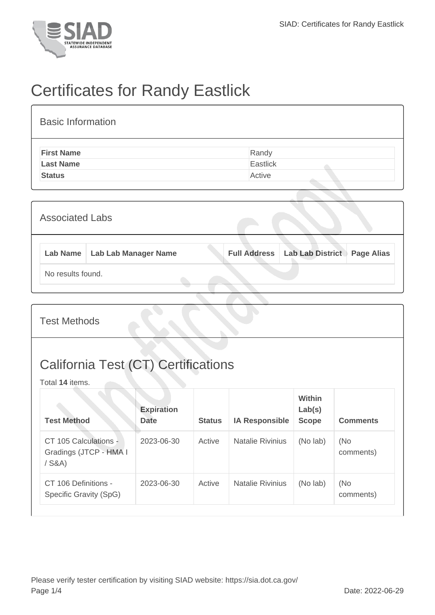

## Certificates for Randy Eastlick

| <b>Basic Information</b> |          |
|--------------------------|----------|
| <b>First Name</b>        | Randy    |
| <b>Last Name</b>         | Eastlick |
| <b>Status</b>            | Active   |
|                          |          |

| <b>Associated Labs</b> |                                 |  |  |                                 |                   |
|------------------------|---------------------------------|--|--|---------------------------------|-------------------|
|                        | Lab Name   Lab Lab Manager Name |  |  | Full Address   Lab Lab District | <b>Page Alias</b> |
| No results found.      |                                 |  |  |                                 |                   |

Test Methods

## California Test (CT) Certifications

Total **14** items.

| <b>Test Method</b>                                        | <b>Expiration</b><br><b>Date</b> | <b>Status</b> | <b>IA Responsible</b>   | Within<br>Lab(s)<br><b>Scope</b> | <b>Comments</b>  |
|-----------------------------------------------------------|----------------------------------|---------------|-------------------------|----------------------------------|------------------|
| CT 105 Calculations -<br>Gradings (JTCP - HMA I<br>/ S&A) | 2023-06-30                       | Active        | <b>Natalie Rivinius</b> | (No lab)                         | (No<br>comments) |
| CT 106 Definitions -<br>Specific Gravity (SpG)            | 2023-06-30                       | Active        | <b>Natalie Rivinius</b> | (No lab)                         | (No<br>comments) |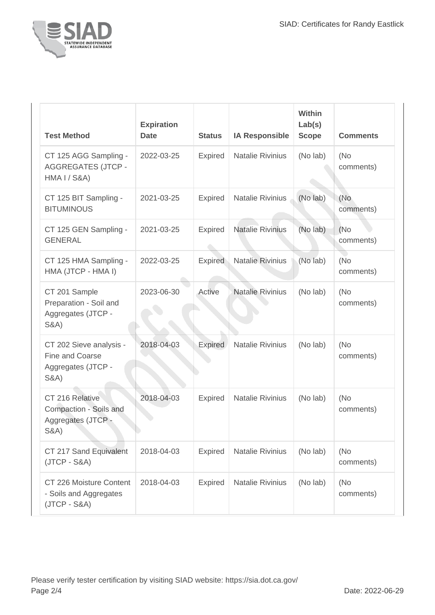

| <b>Test Method</b>                                                                   | <b>Expiration</b><br><b>Date</b> | <b>Status</b>  | <b>IA Responsible</b>   | Within<br>Lab(s)<br><b>Scope</b> | <b>Comments</b>   |
|--------------------------------------------------------------------------------------|----------------------------------|----------------|-------------------------|----------------------------------|-------------------|
| CT 125 AGG Sampling -<br><b>AGGREGATES (JTCP -</b><br><b>HMA I / S&amp;A)</b>        | 2022-03-25                       | <b>Expired</b> | <b>Natalie Rivinius</b> | (No lab)                         | (No<br>comments)  |
| CT 125 BIT Sampling -<br><b>BITUMINOUS</b>                                           | 2021-03-25                       | <b>Expired</b> | Natalie Rivinius        | (No lab)                         | (No<br>comments)  |
| CT 125 GEN Sampling -<br><b>GENERAL</b>                                              | 2021-03-25                       | Expired        | <b>Natalie Rivinius</b> | (No lab)                         | (No)<br>comments) |
| CT 125 HMA Sampling -<br>HMA (JTCP - HMA I)                                          | 2022-03-25                       | <b>Expired</b> | <b>Natalie Rivinius</b> | (No lab)                         | (No<br>comments)  |
| CT 201 Sample<br>Preparation - Soil and<br>Aggregates (JTCP -<br><b>S&amp;A</b> )    | 2023-06-30                       | Active         | <b>Natalie Rivinius</b> | (No lab)                         | (No)<br>comments) |
| CT 202 Sieve analysis -<br>Fine and Coarse<br>Aggregates (JTCP -<br><b>S&amp;A</b> ) | 2018-04-03                       | <b>Expired</b> | <b>Natalie Rivinius</b> | (No lab)                         | (No)<br>comments) |
| CT 216 Relative<br>Compaction - Soils and<br>Aggregates (JTCP -<br><b>S&amp;A</b> )  | 2018-04-03                       | Expired        | <b>Natalie Rivinius</b> | (No lab)                         | (No)<br>comments) |
| CT 217 Sand Equivalent<br>$(JTCP - S&A)$                                             | 2018-04-03                       | <b>Expired</b> | <b>Natalie Rivinius</b> | (No lab)                         | (No)<br>comments) |
| CT 226 Moisture Content<br>- Soils and Aggregates<br>$(JTCP - S&A)$                  | 2018-04-03                       | <b>Expired</b> | <b>Natalie Rivinius</b> | (No lab)                         | (No)<br>comments) |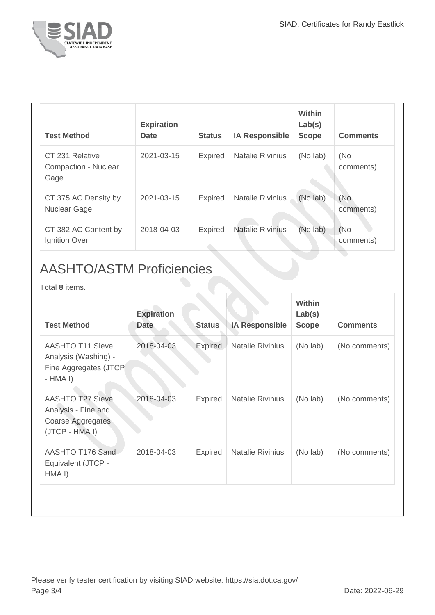

| <b>Test Method</b>                              | <b>Expiration</b><br><b>Date</b> | <b>Status</b>  | <b>IA Responsible</b>   | Within<br>Lab(s)<br><b>Scope</b> | <b>Comments</b>  |
|-------------------------------------------------|----------------------------------|----------------|-------------------------|----------------------------------|------------------|
| CT 231 Relative<br>Compaction - Nuclear<br>Gage | 2021-03-15                       | <b>Expired</b> | <b>Natalie Rivinius</b> | (No lab)                         | (No<br>comments) |
| CT 375 AC Density by<br><b>Nuclear Gage</b>     | 2021-03-15                       | <b>Expired</b> | <b>Natalie Rivinius</b> | (No lab)                         | (No<br>comments) |
| CT 382 AC Content by<br>Ignition Oven           | 2018-04-03                       | <b>Expired</b> | <b>Natalie Rivinius</b> | (No lab)                         | (No<br>comments) |

## AASHTO/ASTM Proficiencies

Total **8** items.

| <b>Test Method</b>                                                                     | <b>Expiration</b><br><b>Date</b> | <b>Status</b>  | <b>IA Responsible</b>   | <b>Within</b><br>Lab(s)<br><b>Scope</b> | <b>Comments</b> |
|----------------------------------------------------------------------------------------|----------------------------------|----------------|-------------------------|-----------------------------------------|-----------------|
| <b>AASHTO T11 Sieve</b><br>Analysis (Washing) -<br>Fine Aggregates (JTCP)<br>$-HMA I)$ | 2018-04-03                       | Expired        | Natalie Rivinius        | (No lab)                                | (No comments)   |
| <b>AASHTO T27 Sieve</b><br>Analysis - Fine and<br>Coarse Aggregates<br>(JTCP - HMA I)  | 2018-04-03                       | <b>Expired</b> | <b>Natalie Rivinius</b> | (No lab)                                | (No comments)   |
| AASHTO T176 Sand<br>Equivalent (JTCP -<br>HMA I)                                       | 2018-04-03                       | <b>Expired</b> | <b>Natalie Rivinius</b> | (No lab)                                | (No comments)   |